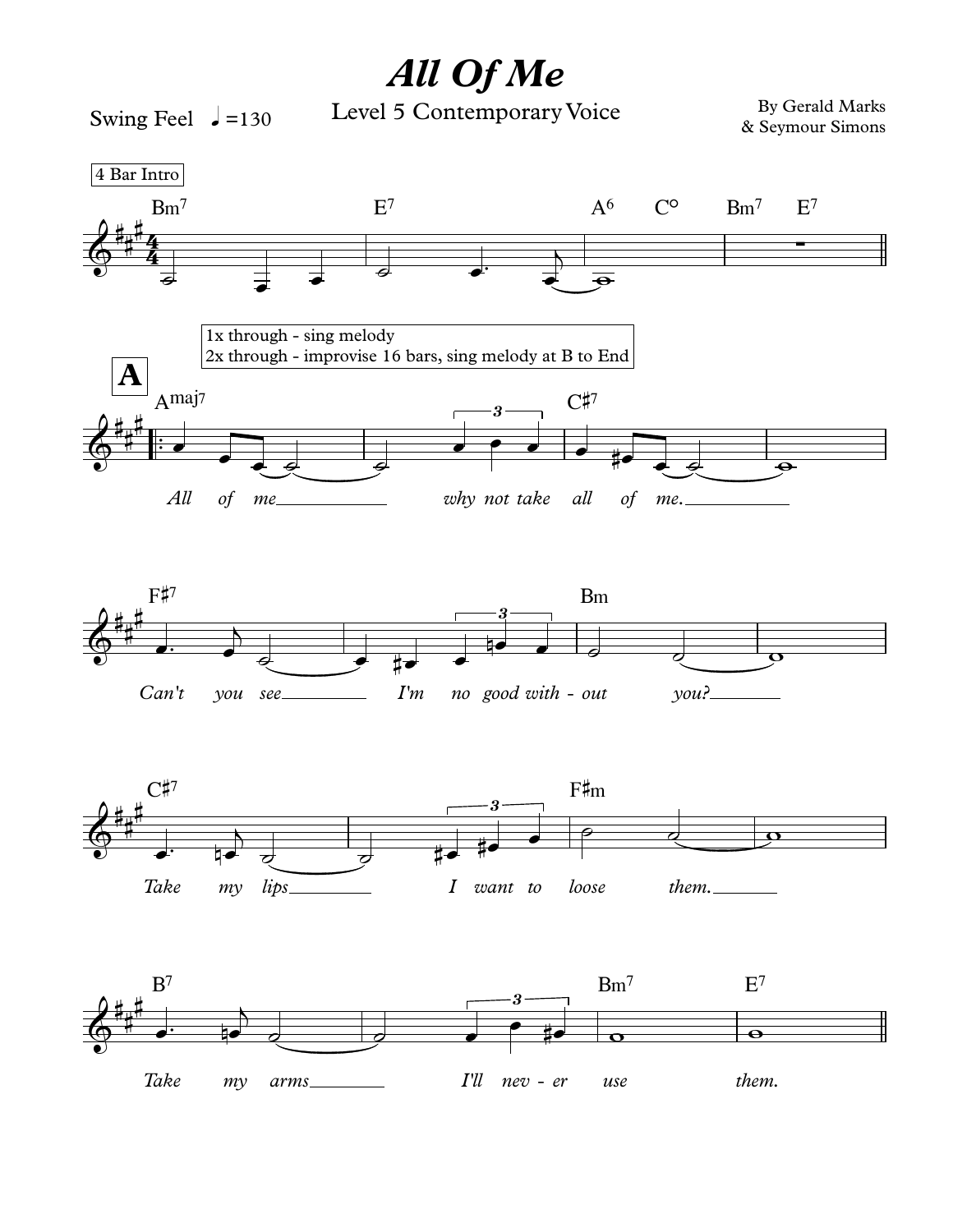## All Of Me

Swing Feel  $\sqrt{=}130$ 

Level 5 Contemporary Voice

By Gerald Marks & Seymour Simons

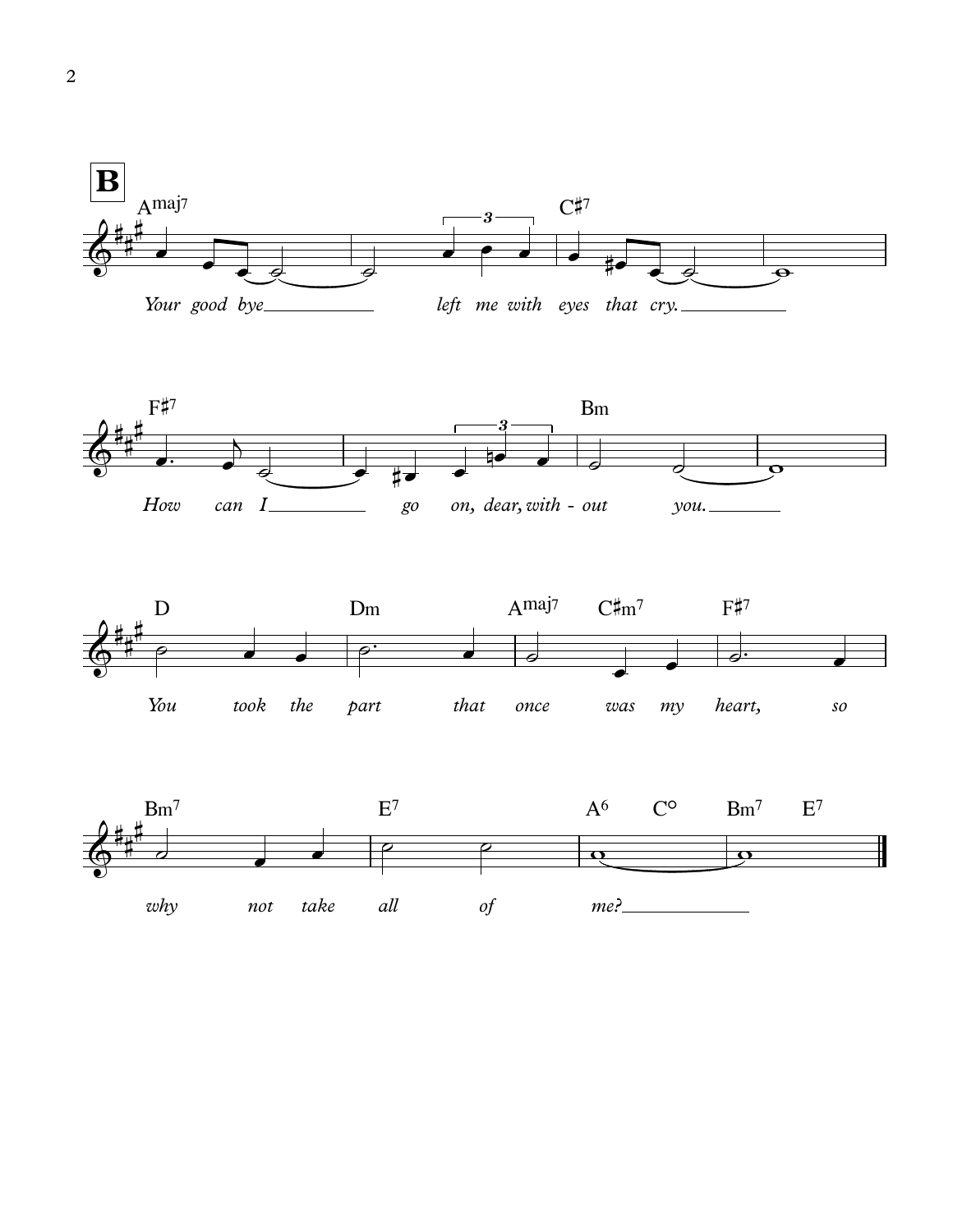





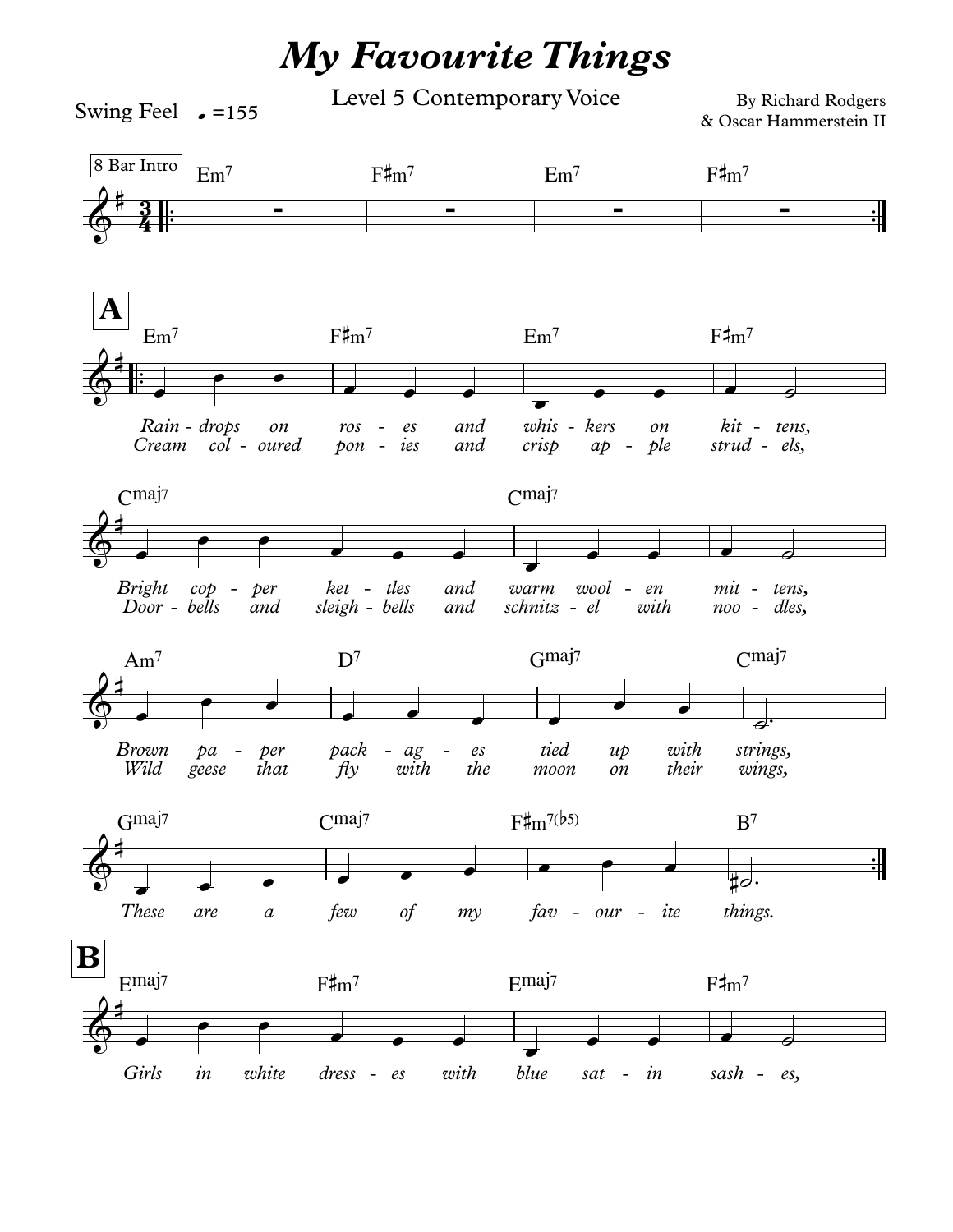## **My Favourite Things**

Level 5 Contemporary Voice

Swing Feel  $\sqrt{=}155$ 

By Richard Rodgers & Oscar Hammerstein II

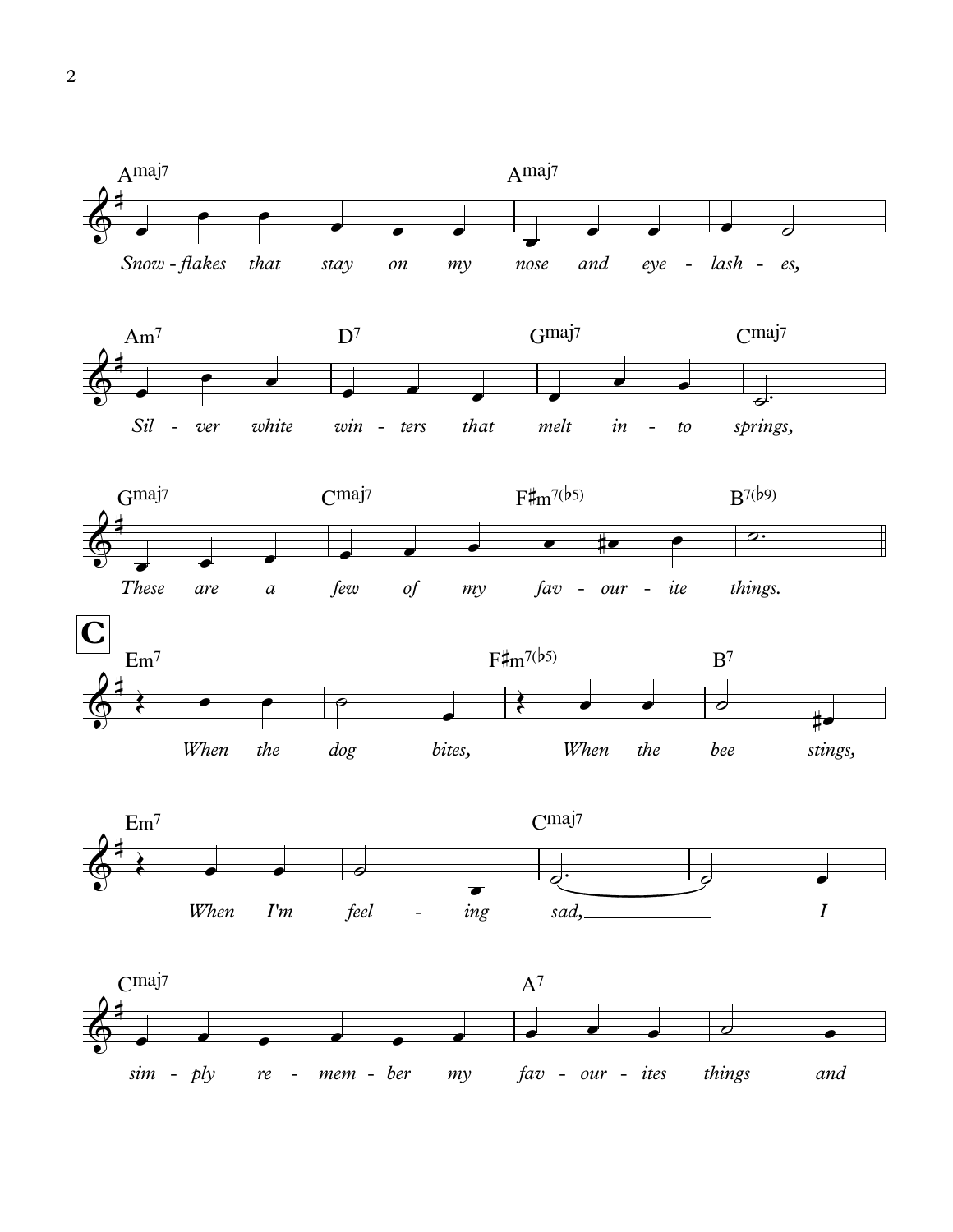

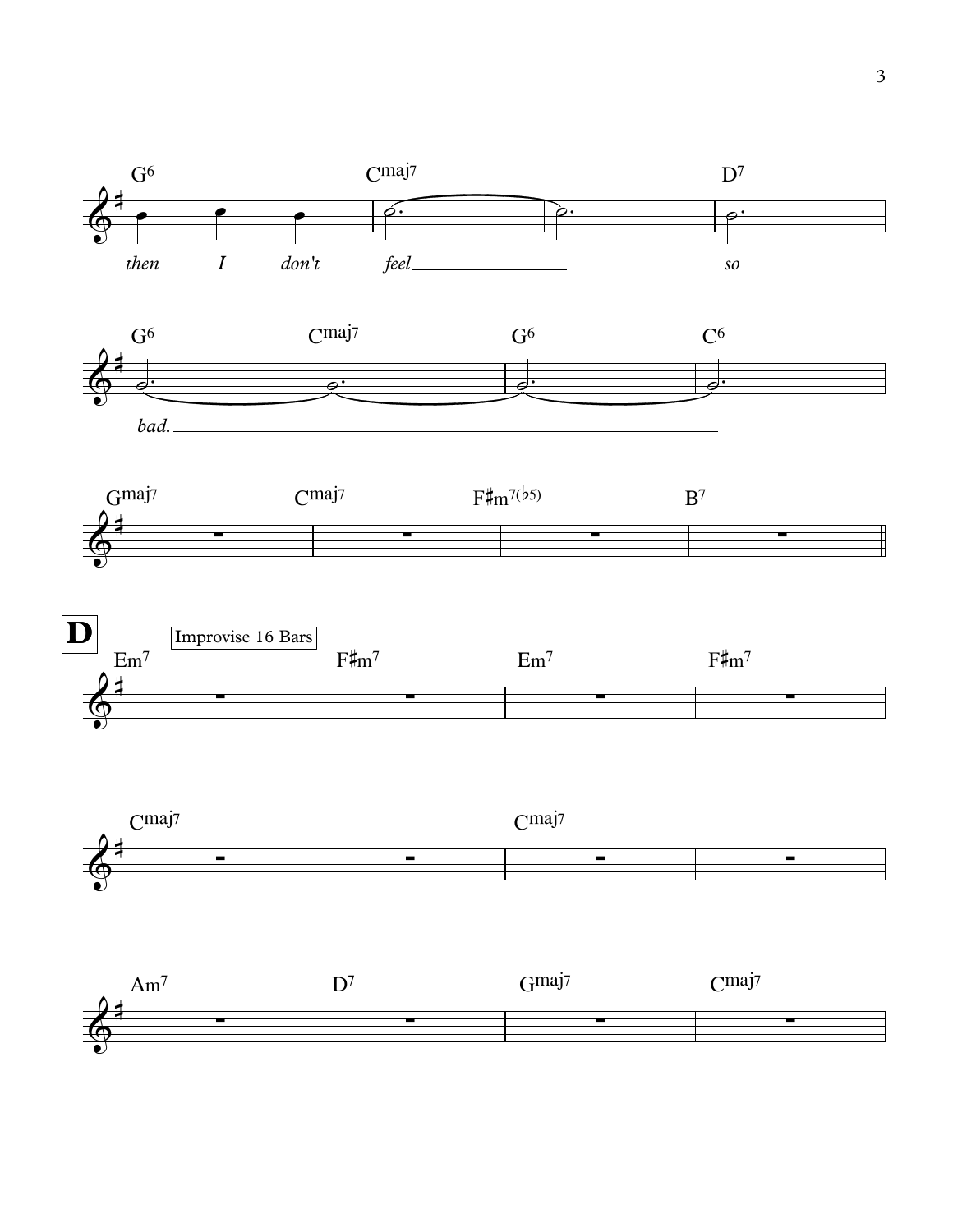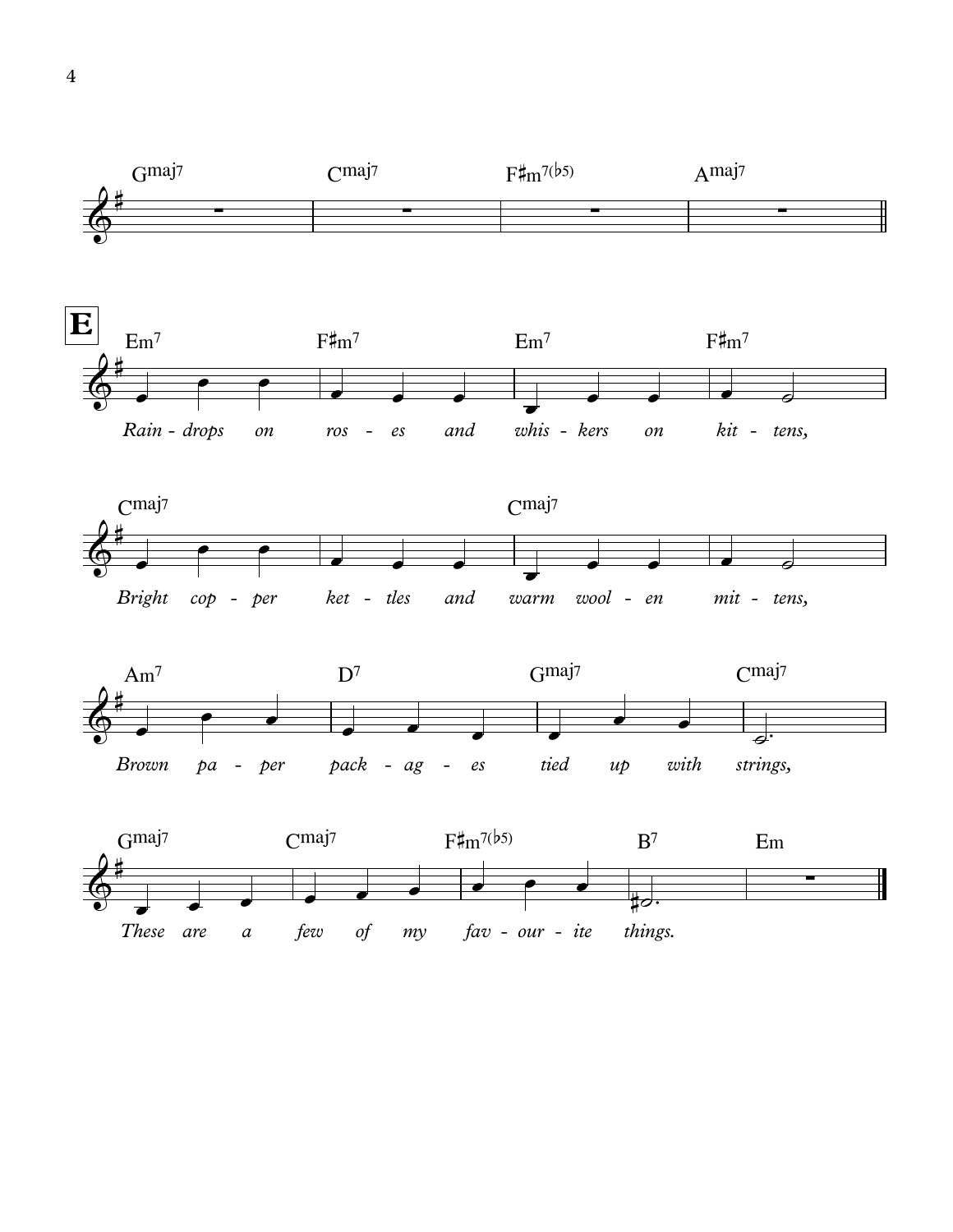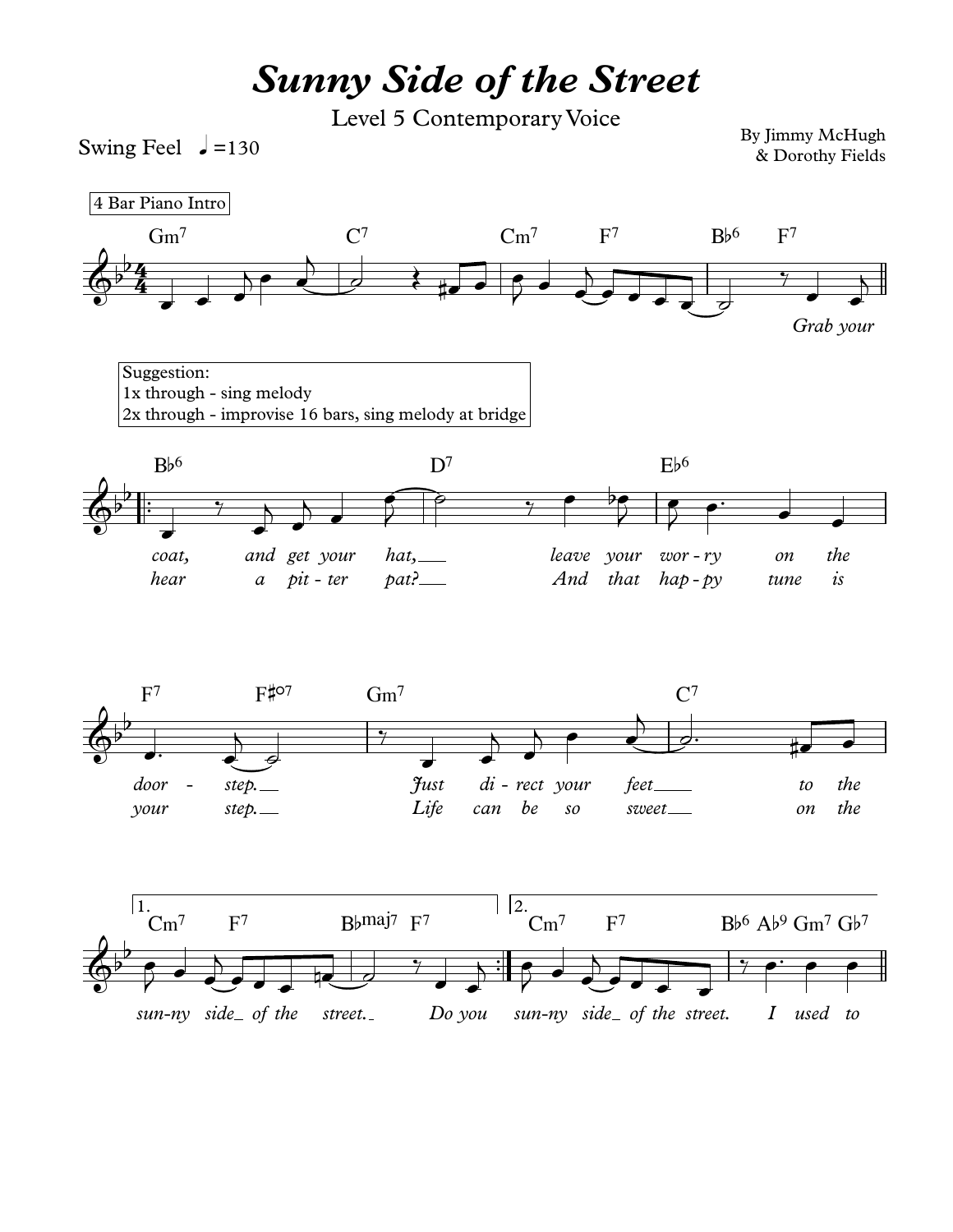## *Sunny Side of the Street*

Level 5 Contemporary Voice

Swing Feel  $\rightarrow$  =130

By Jimmy McHugh & Dorothy Fields